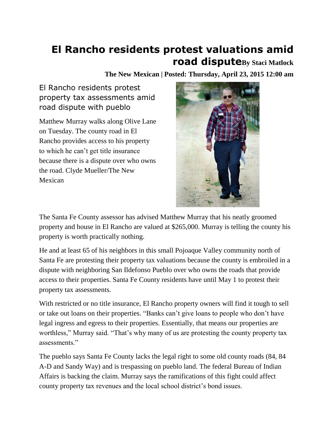## **El Rancho residents protest valuations amid road disputeBy Staci Matlock**

**The New Mexican | Posted: Thursday, April 23, 2015 12:00 am**

El Rancho residents protest property tax assessments amid road dispute with pueblo

Matthew Murray walks along Olive Lane on Tuesday. The county road in El Rancho provides access to his property to which he can't get title insurance because there is a dispute over who owns the road. Clyde Mueller/The New Mexican



The Santa Fe County assessor has advised Matthew Murray that his neatly groomed property and house in El Rancho are valued at \$265,000. Murray is telling the county his property is worth practically nothing.

He and at least 65 of his neighbors in this small Pojoaque Valley community north of Santa Fe are protesting their property tax valuations because the county is embroiled in a dispute with neighboring San Ildefonso Pueblo over who owns the roads that provide access to their properties. Santa Fe County residents have until May 1 to protest their property tax assessments.

With restricted or no title insurance, El Rancho property owners will find it tough to sell or take out loans on their properties. "Banks can't give loans to people who don't have legal ingress and egress to their properties. Essentially, that means our properties are worthless," Murray said. "That's why many of us are protesting the county property tax assessments."

The pueblo says Santa Fe County lacks the legal right to some old county roads (84, 84 A-D and Sandy Way) and is trespassing on pueblo land. The federal Bureau of Indian Affairs is backing the claim. Murray says the ramifications of this fight could affect county property tax revenues and the local school district's bond issues.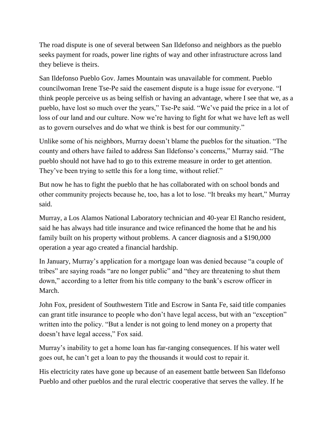The road dispute is one of several between San Ildefonso and neighbors as the pueblo seeks payment for roads, power line rights of way and other infrastructure across land they believe is theirs.

San Ildefonso Pueblo Gov. James Mountain was unavailable for comment. Pueblo councilwoman Irene Tse-Pe said the easement dispute is a huge issue for everyone. "I think people perceive us as being selfish or having an advantage, where I see that we, as a pueblo, have lost so much over the years," Tse-Pe said. "We've paid the price in a lot of loss of our land and our culture. Now we're having to fight for what we have left as well as to govern ourselves and do what we think is best for our community."

Unlike some of his neighbors, Murray doesn't blame the pueblos for the situation. "The county and others have failed to address San Ildefonso's concerns," Murray said. "The pueblo should not have had to go to this extreme measure in order to get attention. They've been trying to settle this for a long time, without relief."

But now he has to fight the pueblo that he has collaborated with on school bonds and other community projects because he, too, has a lot to lose. "It breaks my heart," Murray said.

Murray, a Los Alamos National Laboratory technician and 40-year El Rancho resident, said he has always had title insurance and twice refinanced the home that he and his family built on his property without problems. A cancer diagnosis and a \$190,000 operation a year ago created a financial hardship.

In January, Murray's application for a mortgage loan was denied because "a couple of tribes" are saying roads "are no longer public" and "they are threatening to shut them down," according to a letter from his title company to the bank's escrow officer in March.

John Fox, president of Southwestern Title and Escrow in Santa Fe, said title companies can grant title insurance to people who don't have legal access, but with an "exception" written into the policy. "But a lender is not going to lend money on a property that doesn't have legal access," Fox said.

Murray's inability to get a home loan has far-ranging consequences. If his water well goes out, he can't get a loan to pay the thousands it would cost to repair it.

His electricity rates have gone up because of an easement battle between San Ildefonso Pueblo and other pueblos and the rural electric cooperative that serves the valley. If he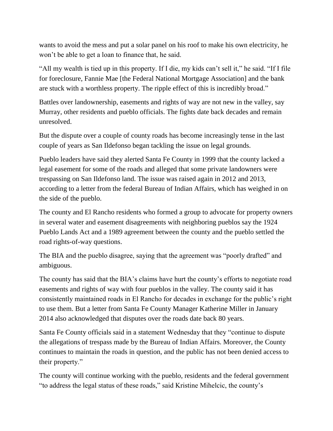wants to avoid the mess and put a solar panel on his roof to make his own electricity, he won't be able to get a loan to finance that, he said.

"All my wealth is tied up in this property. If I die, my kids can't sell it," he said. "If I file for foreclosure, Fannie Mae [the Federal National Mortgage Association] and the bank are stuck with a worthless property. The ripple effect of this is incredibly broad."

Battles over landownership, easements and rights of way are not new in the valley, say Murray, other residents and pueblo officials. The fights date back decades and remain unresolved.

But the dispute over a couple of county roads has become increasingly tense in the last couple of years as San Ildefonso began tackling the issue on legal grounds.

Pueblo leaders have said they alerted Santa Fe County in 1999 that the county lacked a legal easement for some of the roads and alleged that some private landowners were trespassing on San Ildefonso land. The issue was raised again in 2012 and 2013, according to a letter from the federal Bureau of Indian Affairs, which has weighed in on the side of the pueblo.

The county and El Rancho residents who formed a group to advocate for property owners in several water and easement disagreements with neighboring pueblos say the 1924 Pueblo Lands Act and a 1989 agreement between the county and the pueblo settled the road rights-of-way questions.

The BIA and the pueblo disagree, saying that the agreement was "poorly drafted" and ambiguous.

The county has said that the BIA's claims have hurt the county's efforts to negotiate road easements and rights of way with four pueblos in the valley. The county said it has consistently maintained roads in El Rancho for decades in exchange for the public's right to use them. But a letter from Santa Fe County Manager Katherine Miller in January 2014 also acknowledged that disputes over the roads date back 80 years.

Santa Fe County officials said in a statement Wednesday that they "continue to dispute the allegations of trespass made by the Bureau of Indian Affairs. Moreover, the County continues to maintain the roads in question, and the public has not been denied access to their property."

The county will continue working with the pueblo, residents and the federal government "to address the legal status of these roads," said Kristine Mihelcic, the county's